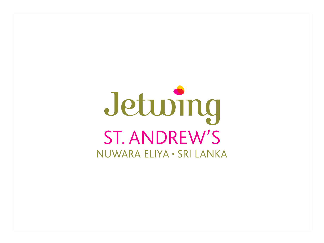# Jeturing **ST. ANDREW'S** NUWARA ELIYA . SRI LANKA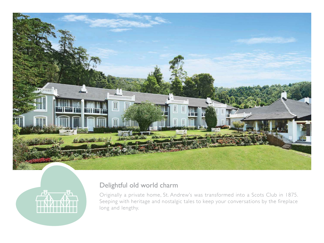



## Delightful old world charm

Originally a private home, St. Andrew's was transformed into a Scots Club in 1875. Seeping with heritage and nostalgic tales to keep your conversations by the fireplace long and lengthy.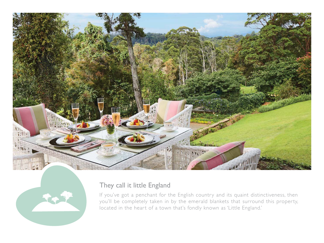



#### They call it little England

If you've got a penchant for the English country and its quaint distinctiveness, then you'll be completely taken in by the emerald blankets that surround this property, located in the heart of a town that's fondly known as 'Little England.'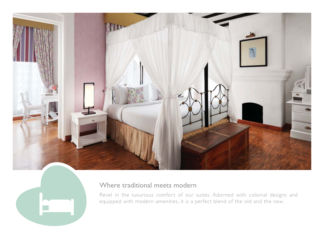



#### Where traditional meets modern

Revel in the luxurious comfort of our suites. Adorned with colonial designs and equipped with modern amenities, it is a perfect blend of the old and the new.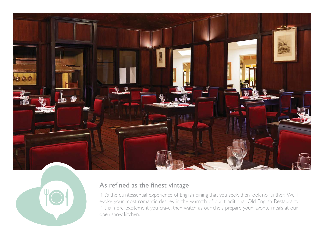



#### As refined as the finest vintage

If it's the quintessential experience of English dining that you seek, then look no further. We'll evoke your most romantic desires in the warmth of our traditional Old English Restaurant. If it is more excitement you crave, then watch as our chefs prepare your favorite meals at our open show kitchen.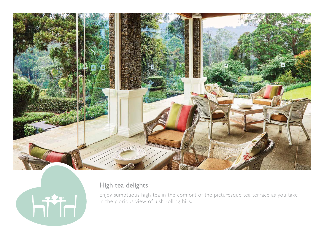



## High tea delights

Enjoy sumptuous high tea in the comfort of the picturesque tea terrace as you take in the glorious view of lush rolling hills.